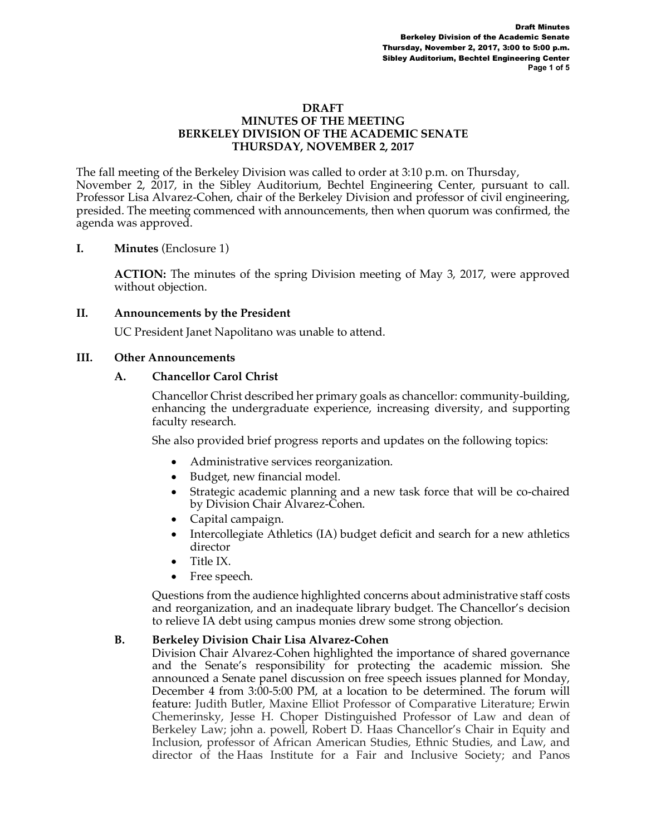#### **DRAFT MINUTES OF THE MEETING BERKELEY DIVISION OF THE ACADEMIC SENATE THURSDAY, NOVEMBER 2, 2017**

The fall meeting of the Berkeley Division was called to order at 3:10 p.m. on Thursday, November 2, 2017, in the Sibley Auditorium, Bechtel Engineering Center, pursuant to call. Professor Lisa Alvarez-Cohen, chair of the Berkeley Division and professor of civil engineering, presided. The meeting commenced with announcements, then when quorum was confirmed, the agenda was approved.

## **I. Minutes** (Enclosure 1)

**ACTION:** The minutes of the spring Division meeting of May 3, 2017, were approved without objection.

## **II. Announcements by the President**

UC President Janet Napolitano was unable to attend.

## **III. Other Announcements**

## **A. Chancellor Carol Christ**

Chancellor Christ described her primary goals as chancellor: community-building, enhancing the undergraduate experience, increasing diversity, and supporting faculty research.

She also provided brief progress reports and updates on the following topics:

- Administrative services reorganization.
- Budget, new financial model.
- Strategic academic planning and a new task force that will be co-chaired by Division Chair Alvarez-Cohen.
- Capital campaign.
- Intercollegiate Athletics (IA) budget deficit and search for a new athletics director
- Title IX.
- Free speech.

Questions from the audience highlighted concerns about administrative staff costs and reorganization, and an inadequate library budget. The Chancellor's decision to relieve IA debt using campus monies drew some strong objection.

## **B. Berkeley Division Chair Lisa Alvarez-Cohen**

Division Chair Alvarez-Cohen highlighted the importance of shared governance and the Senate's responsibility for protecting the academic mission. She announced a Senate panel discussion on free speech issues planned for Monday, December 4 from 3:00-5:00 PM, at a location to be determined. The forum will feature: Judith Butler, Maxine Elliot Professor of Comparative Literature; Erwin Chemerinsky, Jesse H. Choper Distinguished Professor of Law and dean of Berkeley Law; john a. powell, Robert D. Haas Chancellor's Chair in Equity and Inclusion, professor of African American Studies, Ethnic Studies, and Law, and director of the Haas Institute for a Fair and Inclusive Society; and Panos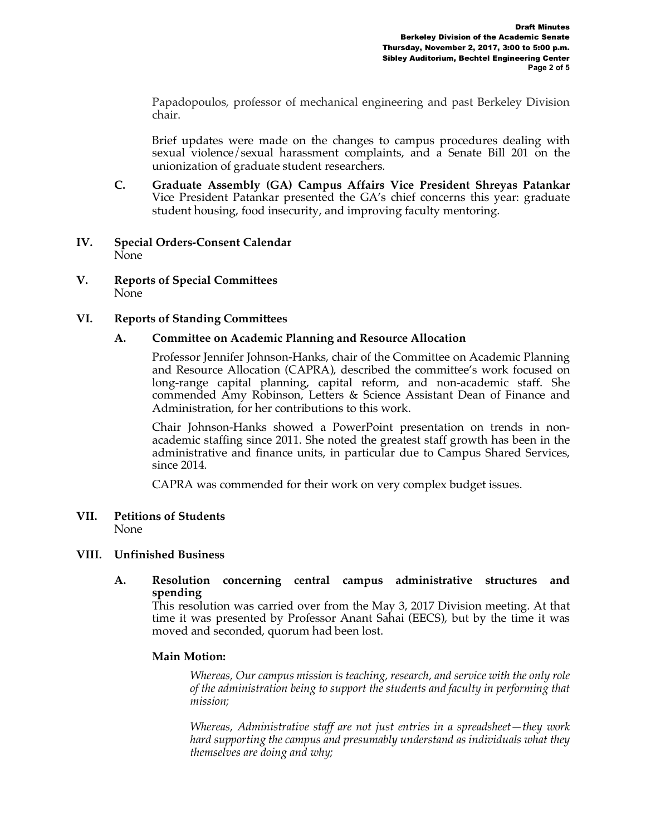Papadopoulos, professor of mechanical engineering and past Berkeley Division chair.

Brief updates were made on the changes to campus procedures dealing with sexual violence/sexual harassment complaints, and a Senate Bill 201 on the unionization of graduate student researchers.

- **C. Graduate Assembly (GA) Campus Affairs Vice President Shreyas Patankar** Vice President Patankar presented the GA's chief concerns this year: graduate student housing, food insecurity, and improving faculty mentoring.
- **IV. Special Orders-Consent Calendar**  None
- **V. Reports of Special Committees** None

## **VI. Reports of Standing Committees**

## **A. Committee on Academic Planning and Resource Allocation**

Professor Jennifer Johnson-Hanks, chair of the Committee on Academic Planning and Resource Allocation (CAPRA), described the committee's work focused on long-range capital planning, capital reform, and non-academic staff. She commended Amy Robinson, Letters & Science Assistant Dean of Finance and Administration, for her contributions to this work.

Chair Johnson-Hanks showed a PowerPoint presentation on trends in nonacademic staffing since 2011. She noted the greatest staff growth has been in the administrative and finance units, in particular due to Campus Shared Services, since 2014.

CAPRA was commended for their work on very complex budget issues.

#### **VII. Petitions of Students**  None

## **VIII. Unfinished Business**

**A. Resolution concerning central campus administrative structures and spending**

This resolution was carried over from the May 3, 2017 Division meeting. At that time it was presented by Professor Anant Sahai (EECS), but by the time it was moved and seconded, quorum had been lost.

#### **Main Motion:**

*Whereas, Our campus mission is teaching, research, and service with the only role of the administration being to support the students and faculty in performing that mission;*

*Whereas, Administrative staff are not just entries in a spreadsheet—they work hard supporting the campus and presumably understand as individuals what they themselves are doing and why;*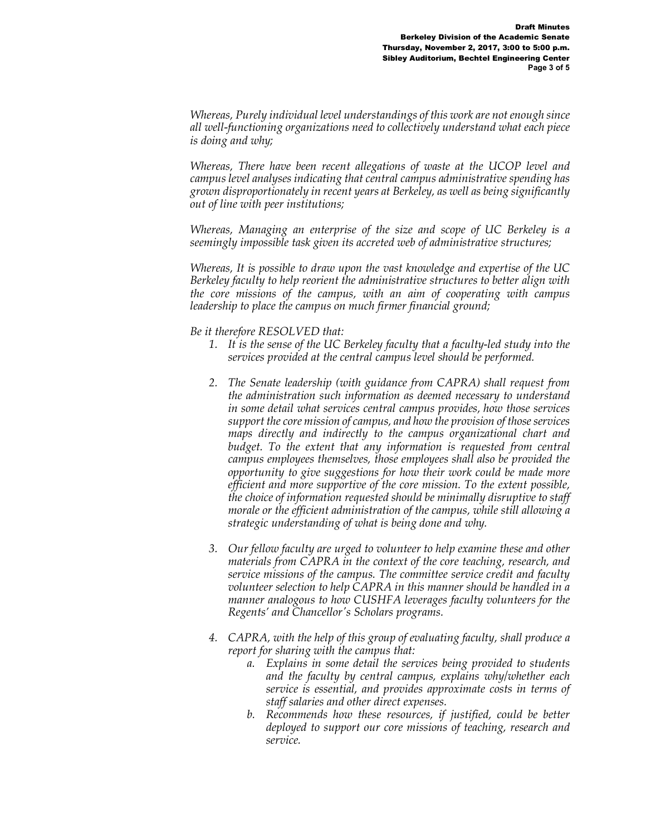*Whereas, Purely individual level understandings of this work are not enough since all well-functioning organizations need to collectively understand what each piece is doing and why;*

*Whereas, There have been recent allegations of waste at the UCOP level and campus level analyses indicating that central campus administrative spending has grown disproportionately in recent years at Berkeley, as well as being significantly out of line with peer institutions;*

*Whereas, Managing an enterprise of the size and scope of UC Berkeley is a seemingly impossible task given its accreted web of administrative structures;*

*Whereas, It is possible to draw upon the vast knowledge and expertise of the UC Berkeley faculty to help reorient the administrative structures to better align with the core missions of the campus, with an aim of cooperating with campus leadership to place the campus on much firmer financial ground;*

*Be it therefore RESOLVED that:*

- *1. It is the sense of the UC Berkeley faculty that a faculty-led study into the services provided at the central campus level should be performed.*
- *2. The Senate leadership (with guidance from CAPRA) shall request from the administration such information as deemed necessary to understand in some detail what services central campus provides, how those services support the core mission of campus, and how the provision of those services maps directly and indirectly to the campus organizational chart and budget.* To the extent that any information is requested from central *campus employees themselves, those employees shall also be provided the opportunity to give suggestions for how their work could be made more efficient and more supportive of the core mission. To the extent possible, the choice of information requested should be minimally disruptive to staff morale or the efficient administration of the campus, while still allowing a strategic understanding of what is being done and why.*
- *3. Our fellow faculty are urged to volunteer to help examine these and other materials from CAPRA in the context of the core teaching, research, and service missions of the campus. The committee service credit and faculty volunteer selection to help CAPRA in this manner should be handled in a manner analogous to how CUSHFA leverages faculty volunteers for the Regents' and Chancellor's Scholars programs.*
- *4. CAPRA, with the help of this group of evaluating faculty, shall produce a report for sharing with the campus that:* 
	- *a. Explains in some detail the services being provided to students and the faculty by central campus, explains why/whether each service is essential, and provides approximate costs in terms of staff salaries and other direct expenses.*
	- *b. Recommends how these resources, if justified, could be better deployed to support our core missions of teaching, research and service.*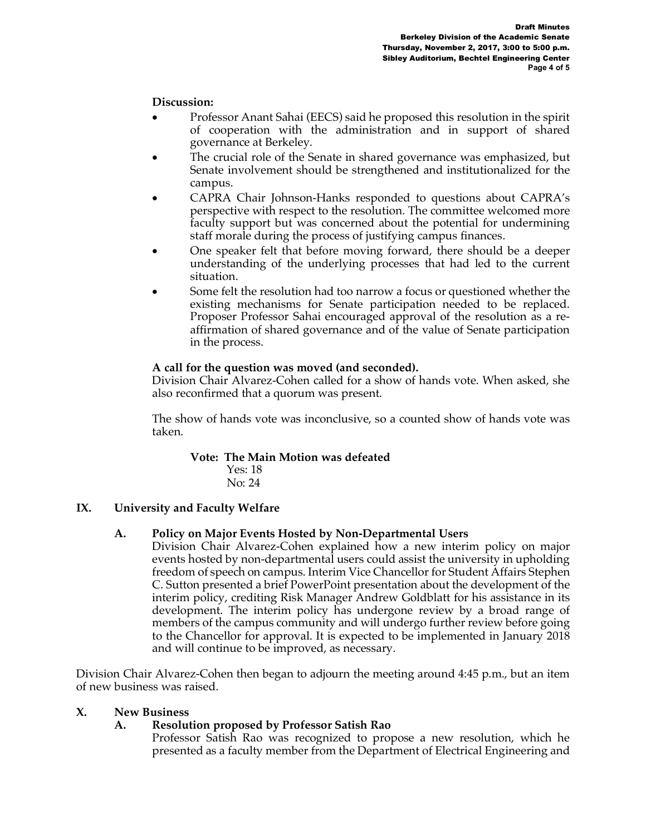# **Discussion:**

- Professor Anant Sahai (EECS) said he proposed this resolution in the spirit of cooperation with the administration and in support of shared governance at Berkeley.
- The crucial role of the Senate in shared governance was emphasized, but Senate involvement should be strengthened and institutionalized for the campus.
- CAPRA Chair Johnson-Hanks responded to questions about CAPRA's perspective with respect to the resolution. The committee welcomed more faculty support but was concerned about the potential for undermining staff morale during the process of justifying campus finances.
- One speaker felt that before moving forward, there should be a deeper understanding of the underlying processes that had led to the current situation.
- Some felt the resolution had too narrow a focus or questioned whether the existing mechanisms for Senate participation needed to be replaced. Proposer Professor Sahai encouraged approval of the resolution as a reaffirmation of shared governance and of the value of Senate participation in the process.

## **A call for the question was moved (and seconded).**

Division Chair Alvarez-Cohen called for a show of hands vote. When asked, she also reconfirmed that a quorum was present.

The show of hands vote was inconclusive, so a counted show of hands vote was taken.

## **Vote: The Main Motion was defeated**

 Yes: 18 No: 24

# **IX. University and Faculty Welfare**

# **A. Policy on Major Events Hosted by Non-Departmental Users**

Division Chair Alvarez-Cohen explained how a new interim policy on major events hosted by non-departmental users could assist the university in upholding freedom of speech on campus. Interim Vice Chancellor for Student Affairs Stephen C. Sutton presented a brief PowerPoint presentation about the development of the interim policy, crediting Risk Manager Andrew Goldblatt for his assistance in its development. The interim policy has undergone review by a broad range of members of the campus community and will undergo further review before going to the Chancellor for approval. It is expected to be implemented in January 2018 and will continue to be improved, as necessary.

Division Chair Alvarez-Cohen then began to adjourn the meeting around 4:45 p.m., but an item of new business was raised.

## **X. New Business**

# **A. Resolution proposed by Professor Satish Rao**

Professor Satish Rao was recognized to propose a new resolution, which he presented as a faculty member from the Department of Electrical Engineering and